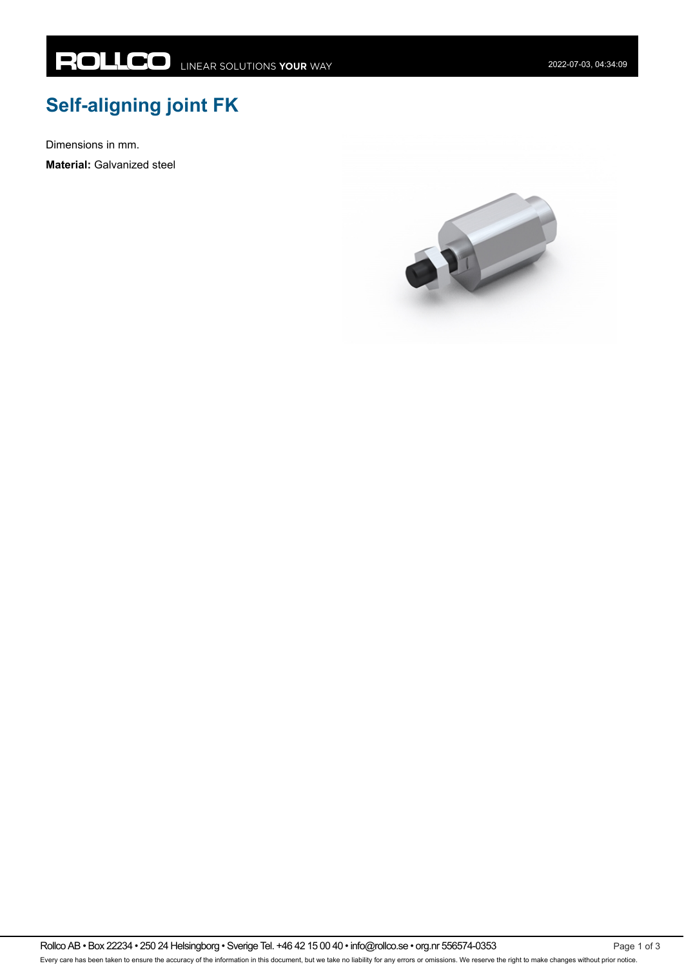## **Self-aligning joint FK**

Dimensions in mm.

**Material:** Galvanized steel

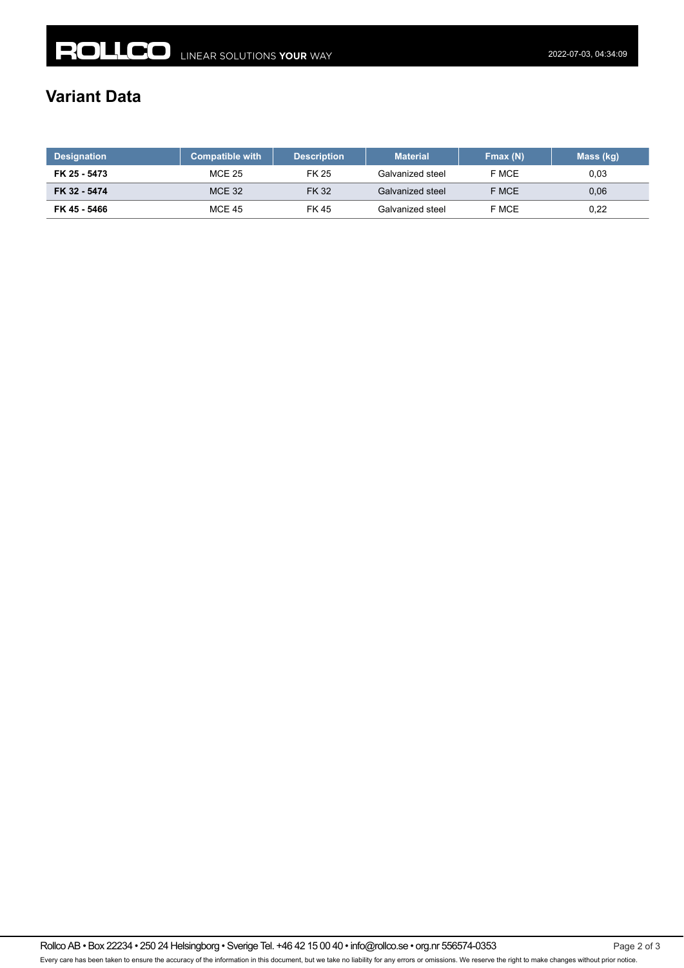## **Variant Data**

| <b>Designation</b> | <b>Compatible with</b> | <b>Description</b> | <b>Material</b>  | Fmax(N) | Mass (kg) |
|--------------------|------------------------|--------------------|------------------|---------|-----------|
| FK 25 - 5473       | <b>MCE 25</b>          | FK 25              | Galvanized steel | F MCE   | 0,03      |
| FK 32 - 5474       | <b>MCE 32</b>          | <b>FK32</b>        | Galvanized steel | F MCE   | 0.06      |
| FK 45 - 5466       | <b>MCE 45</b>          | FK 45              | Galvanized steel | F MCE   | 0,22      |

Rollco AB • Box 22234 • 250 24 Helsingborg • Sverige Tel. +46 42 15 00 40 • info@rollco.se • org.nr 556574-0353 Page 2 of 3 Every care has been taken to ensure the accuracy of the information in this document, but we take no liability for any errors or omissions. We reserve the right to make changes without prior notice.